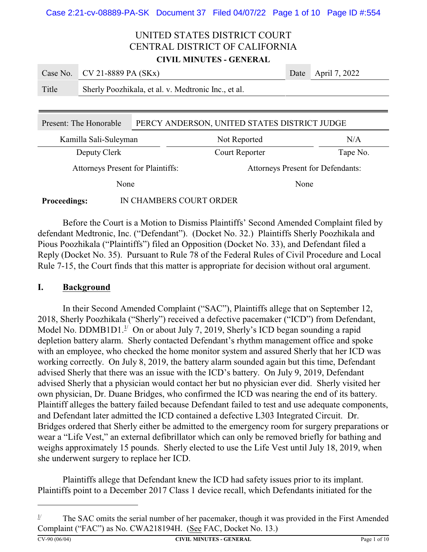|       | Case No. $CV 21-8889 PA (SKx)$                      | Date April 7, 2022 |
|-------|-----------------------------------------------------|--------------------|
| Title | Sherly Poozhikala, et al. v. Medtronic Inc., et al. |                    |

| Present: The Honorable                         | PERCY ANDERSON, UNITED STATES DISTRICT JUDGE |                                          |          |  |
|------------------------------------------------|----------------------------------------------|------------------------------------------|----------|--|
| Kamilla Sali-Suleyman                          |                                              | Not Reported                             | N/A      |  |
| Deputy Clerk                                   |                                              | Court Reporter                           | Tape No. |  |
| <b>Attorneys Present for Plaintiffs:</b>       |                                              | <b>Attorneys Present for Defendants:</b> |          |  |
| None                                           |                                              |                                          | None     |  |
| IN CHAMBERS COURT ORDER<br><b>Proceedings:</b> |                                              |                                          |          |  |

Before the Court is a Motion to Dismiss Plaintiffs' Second Amended Complaint filed by defendant Medtronic, Inc. ("Defendant"). (Docket No. 32.) Plaintiffs Sherly Poozhikala and Pious Poozhikala ("Plaintiffs") filed an Opposition (Docket No. 33), and Defendant filed a Reply (Docket No. 35). Pursuant to Rule 78 of the Federal Rules of Civil Procedure and Local Rule 7-15, the Court finds that this matter is appropriate for decision without oral argument.

#### **I. Background**

In their Second Amended Complaint ("SAC"), Plaintiffs allege that on September 12, 2018, Sherly Poozhikala ("Sherly") received a defective pacemaker ("ICD") from Defendant, Model No. DDMB1D1. $\frac{1}{2}$  On or about July 7, 2019, Sherly's ICD began sounding a rapid depletion battery alarm. Sherly contacted Defendant's rhythm management office and spoke with an employee, who checked the home monitor system and assured Sherly that her ICD was working correctly. On July 8, 2019, the battery alarm sounded again but this time, Defendant advised Sherly that there was an issue with the ICD's battery. On July 9, 2019, Defendant advised Sherly that a physician would contact her but no physician ever did. Sherly visited her own physician, Dr. Duane Bridges, who confirmed the ICD was nearing the end of its battery. Plaintiff alleges the battery failed because Defendant failed to test and use adequate components, and Defendant later admitted the ICD contained a defective L303 Integrated Circuit. Dr. Bridges ordered that Sherly either be admitted to the emergency room for surgery preparations or wear a "Life Vest," an external defibrillator which can only be removed briefly for bathing and weighs approximately 15 pounds. Sherly elected to use the Life Vest until July 18, 2019, when she underwent surgery to replace her ICD.

Plaintiffs allege that Defendant knew the ICD had safety issues prior to its implant. Plaintiffs point to a December 2017 Class 1 device recall, which Defendants initiated for the

<sup>&</sup>lt;sup>1/</sup> The SAC omits the serial number of her pacemaker, though it was provided in the First Amended Complaint ("FAC") as No. CWA218194H. (See FAC, Docket No. 13.)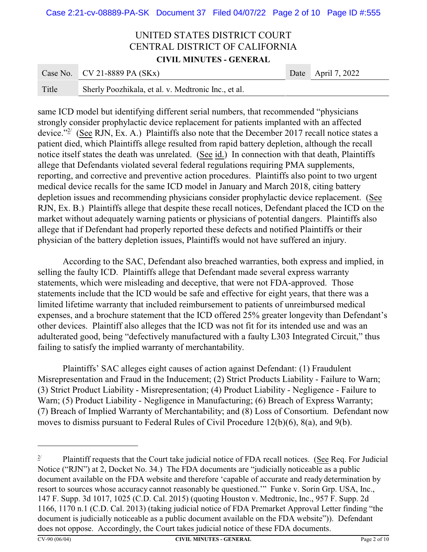|       | Case No. CV 21-8889 PA $(SKx)$                      | Date April 7, 2022 |
|-------|-----------------------------------------------------|--------------------|
| Title | Sherly Poozhikala, et al. v. Medtronic Inc., et al. |                    |

same ICD model but identifying different serial numbers, that recommended "physicians strongly consider prophylactic device replacement for patients implanted with an affected device."<sup> $2$ </sup> (See RJN, Ex. A.) Plaintiffs also note that the December 2017 recall notice states a patient died, which Plaintiffs allege resulted from rapid battery depletion, although the recall notice itself states the death was unrelated. (See id.) In connection with that death, Plaintiffs allege that Defendants violated several federal regulations requiring PMA supplements, reporting, and corrective and preventive action procedures. Plaintiffs also point to two urgent medical device recalls for the same ICD model in January and March 2018, citing battery depletion issues and recommending physicians consider prophylactic device replacement. (See RJN, Ex. B.) Plaintiffs allege that despite these recall notices, Defendant placed the ICD on the market without adequately warning patients or physicians of potential dangers. Plaintiffs also allege that if Defendant had properly reported these defects and notified Plaintiffs or their physician of the battery depletion issues, Plaintiffs would not have suffered an injury.

According to the SAC, Defendant also breached warranties, both express and implied, in selling the faulty ICD. Plaintiffs allege that Defendant made several express warranty statements, which were misleading and deceptive, that were not FDA-approved. Those statements include that the ICD would be safe and effective for eight years, that there was a limited lifetime warranty that included reimbursement to patients of unreimbursed medical expenses, and a brochure statement that the ICD offered 25% greater longevity than Defendant's other devices. Plaintiff also alleges that the ICD was not fit for its intended use and was an adulterated good, being "defectively manufactured with a faulty L303 Integrated Circuit," thus failing to satisfy the implied warranty of merchantability.

Plaintiffs' SAC alleges eight causes of action against Defendant: (1) Fraudulent Misrepresentation and Fraud in the Inducement; (2) Strict Products Liability - Failure to Warn; (3) Strict Product Liability - Misrepresentation; (4) Product Liability - Negligence - Failure to Warn; (5) Product Liability - Negligence in Manufacturing; (6) Breach of Express Warranty; (7) Breach of Implied Warranty of Merchantability; and (8) Loss of Consortium. Defendant now moves to dismiss pursuant to Federal Rules of Civil Procedure 12(b)(6), 8(a), and 9(b).

 $2^{\prime}$  Plaintiff requests that the Court take judicial notice of FDA recall notices. (See Req. For Judicial Notice ("RJN") at 2, Docket No. 34.) The FDA documents are "judicially noticeable as a public document available on the FDA website and therefore 'capable of accurate and ready determination by resort to sources whose accuracy cannot reasonably be questioned.'" Funke v. Sorin Grp. USA, Inc., 147 F. Supp. 3d 1017, 1025 (C.D. Cal. 2015) (quoting Houston v. Medtronic, Inc., 957 F. Supp. 2d 1166, 1170 n.1 (C.D. Cal. 2013) (taking judicial notice of FDA Premarket Approval Letter finding "the document is judicially noticeable as a public document available on the FDA website")). Defendant does not oppose. Accordingly, the Court takes judicial notice of these FDA documents.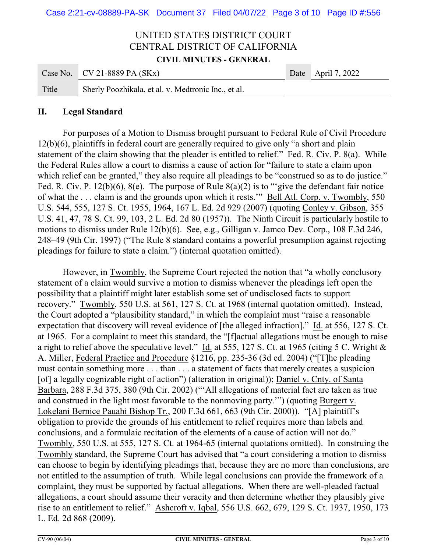|       | Case No. CV 21-8889 PA $(SKx)$                      | Date April 7, 2022 |
|-------|-----------------------------------------------------|--------------------|
| Title | Sherly Poozhikala, et al. v. Medtronic Inc., et al. |                    |

#### **II. Legal Standard**

For purposes of a Motion to Dismiss brought pursuant to Federal Rule of Civil Procedure 12(b)(6), plaintiffs in federal court are generally required to give only "a short and plain statement of the claim showing that the pleader is entitled to relief." Fed. R. Civ. P. 8(a). While the Federal Rules allow a court to dismiss a cause of action for "failure to state a claim upon which relief can be granted," they also require all pleadings to be "construed so as to do justice." Fed. R. Civ. P. 12(b)(6), 8(e). The purpose of Rule  $8(a)(2)$  is to "give the defendant fair notice of what the . . . claim is and the grounds upon which it rests.'" Bell Atl. Corp. v. Twombly, 550 U.S. 544, 555, 127 S. Ct. 1955, 1964, 167 L. Ed. 2d 929 (2007) (quoting Conley v. Gibson, 355 U.S. 41, 47, 78 S. Ct. 99, 103, 2 L. Ed. 2d 80 (1957)). The Ninth Circuit is particularly hostile to motions to dismiss under Rule 12(b)(6). See, e.g., Gilligan v. Jamco Dev. Corp., 108 F.3d 246, 248–49 (9th Cir. 1997) ("The Rule 8 standard contains a powerful presumption against rejecting pleadings for failure to state a claim.") (internal quotation omitted).

However, in Twombly, the Supreme Court rejected the notion that "a wholly conclusory statement of a claim would survive a motion to dismiss whenever the pleadings left open the possibility that a plaintiff might later establish some set of undisclosed facts to support recovery." Twombly, 550 U.S. at 561, 127 S. Ct. at 1968 (internal quotation omitted). Instead, the Court adopted a "plausibility standard," in which the complaint must "raise a reasonable expectation that discovery will reveal evidence of [the alleged infraction]." Id. at 556, 127 S. Ct. at 1965. For a complaint to meet this standard, the "[f]actual allegations must be enough to raise a right to relief above the speculative level." Id. at 555, 127 S. Ct. at 1965 (citing 5 C. Wright & A. Miller, Federal Practice and Procedure §1216, pp. 235-36 (3d ed. 2004) ("[T]he pleading must contain something more . . . than . . . a statement of facts that merely creates a suspicion [of] a legally cognizable right of action") (alteration in original)); Daniel v. Cnty. of Santa Barbara, 288 F.3d 375, 380 (9th Cir. 2002) ("'All allegations of material fact are taken as true and construed in the light most favorable to the nonmoving party.") (quoting Burgert v. Lokelani Bernice Pauahi Bishop Tr., 200 F.3d 661, 663 (9th Cir. 2000)). "[A] plaintiff's obligation to provide the grounds of his entitlement to relief requires more than labels and conclusions, and a formulaic recitation of the elements of a cause of action will not do." Twombly, 550 U.S. at 555, 127 S. Ct. at 1964-65 (internal quotations omitted). In construing the Twombly standard, the Supreme Court has advised that "a court considering a motion to dismiss can choose to begin by identifying pleadings that, because they are no more than conclusions, are not entitled to the assumption of truth. While legal conclusions can provide the framework of a complaint, they must be supported by factual allegations. When there are well-pleaded factual allegations, a court should assume their veracity and then determine whether they plausibly give rise to an entitlement to relief." Ashcroft v. Iqbal, 556 U.S. 662, 679, 129 S. Ct. 1937, 1950, 173 L. Ed. 2d 868 (2009).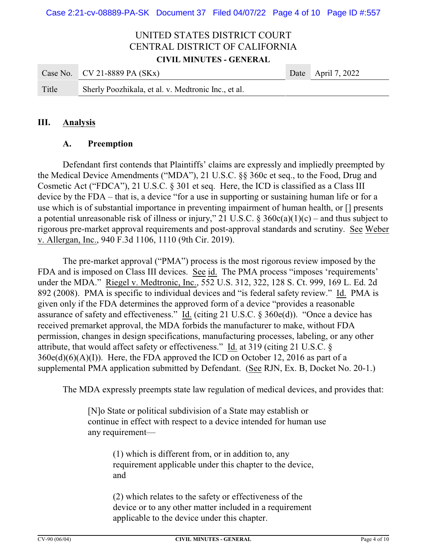|       | Case No. $CV 21-8889 PA (SKx)$                      | Date April 7, 2022 |
|-------|-----------------------------------------------------|--------------------|
| Title | Sherly Poozhikala, et al. v. Medtronic Inc., et al. |                    |

#### **III. Analysis**

#### **A. Preemption**

Defendant first contends that Plaintiffs' claims are expressly and impliedly preempted by the Medical Device Amendments ("MDA"), 21 U.S.C. §§ 360c et seq., to the Food, Drug and Cosmetic Act ("FDCA"), 21 U.S.C. § 301 et seq. Here, the ICD is classified as a Class III device by the FDA – that is, a device "for a use in supporting or sustaining human life or for a use which is of substantial importance in preventing impairment of human health, or [] presents a potential unreasonable risk of illness or injury," 21 U.S.C. §  $360c(a)(1)(c)$  – and thus subject to rigorous pre-market approval requirements and post-approval standards and scrutiny. See Weber v. Allergan, Inc., 940 F.3d 1106, 1110 (9th Cir. 2019).

The pre-market approval ("PMA") process is the most rigorous review imposed by the FDA and is imposed on Class III devices. See id. The PMA process "imposes 'requirements' under the MDA." Riegel v. Medtronic, Inc., 552 U.S. 312, 322, 128 S. Ct. 999, 169 L. Ed. 2d 892 (2008). PMA is specific to individual devices and "is federal safety review." Id. PMA is given only if the FDA determines the approved form of a device "provides a reasonable assurance of safety and effectiveness." Id. (citing 21 U.S.C. § 360e(d)). "Once a device has received premarket approval, the MDA forbids the manufacturer to make, without FDA permission, changes in design specifications, manufacturing processes, labeling, or any other attribute, that would affect safety or effectiveness." Id. at 319 (citing 21 U.S.C. §  $360e(d)(6)(A)(I)$ . Here, the FDA approved the ICD on October 12, 2016 as part of a supplemental PMA application submitted by Defendant. (See RJN, Ex. B, Docket No. 20-1.)

The MDA expressly preempts state law regulation of medical devices, and provides that:

[N]o State or political subdivision of a State may establish or continue in effect with respect to a device intended for human use any requirement—

> (1) which is different from, or in addition to, any requirement applicable under this chapter to the device, and

(2) which relates to the safety or effectiveness of the device or to any other matter included in a requirement applicable to the device under this chapter.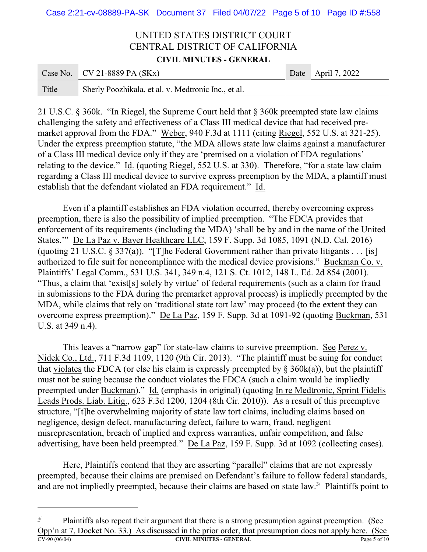Case 2:21-cv-08889-PA-SK Document 37 Filed 04/07/22 Page 5 of 10 Page ID #:558

### UNITED STATES DISTRICT COURT CENTRAL DISTRICT OF CALIFORNIA **CIVIL MINUTES - GENERAL**

|       | Case No. CV 21-8889 PA $(SKx)$                      | Date April 7, 2022 |
|-------|-----------------------------------------------------|--------------------|
| Title | Sherly Poozhikala, et al. v. Medtronic Inc., et al. |                    |

21 U.S.C. § 360k. "In Riegel, the Supreme Court held that § 360k preempted state law claims challenging the safety and effectiveness of a Class III medical device that had received premarket approval from the FDA." Weber, 940 F.3d at 1111 (citing Riegel, 552 U.S. at 321-25). Under the express preemption statute, "the MDA allows state law claims against a manufacturer of a Class III medical device only if they are 'premised on a violation of FDA regulations' relating to the device." Id. (quoting Riegel, 552 U.S. at 330). Therefore, "for a state law claim regarding a Class III medical device to survive express preemption by the MDA, a plaintiff must establish that the defendant violated an FDA requirement." Id.

Even if a plaintiff establishes an FDA violation occurred, thereby overcoming express preemption, there is also the possibility of implied preemption. "The FDCA provides that enforcement of its requirements (including the MDA) 'shall be by and in the name of the United States.'" De La Paz v. Bayer Healthcare LLC, 159 F. Supp. 3d 1085, 1091 (N.D. Cal. 2016) (quoting 21 U.S.C.  $\S 337(a)$ ). "[T]he Federal Government rather than private litigants . . . [is] authorized to file suit for noncompliance with the medical device provisions." Buckman Co. v. Plaintiffs' Legal Comm., 531 U.S. 341, 349 n.4, 121 S. Ct. 1012, 148 L. Ed. 2d 854 (2001). "Thus, a claim that 'exist[s] solely by virtue' of federal requirements (such as a claim for fraud in submissions to the FDA during the premarket approval process) is impliedly preempted by the MDA, while claims that rely on 'traditional state tort law' may proceed (to the extent they can overcome express preemption)." De La Paz, 159 F. Supp. 3d at 1091-92 (quoting Buckman, 531 U.S. at 349 n.4).

This leaves a "narrow gap" for state-law claims to survive preemption. See Perez v. Nidek Co., Ltd., 711 F.3d 1109, 1120 (9th Cir. 2013). "The plaintiff must be suing for conduct that violates the FDCA (or else his claim is expressly preempted by  $\S$  360k(a)), but the plaintiff must not be suing because the conduct violates the FDCA (such a claim would be impliedly preempted under Buckman)." Id. (emphasis in original) (quoting In re Medtronic, Sprint Fidelis Leads Prods. Liab. Litig., 623 F.3d 1200, 1204 (8th Cir. 2010)). As a result of this preemptive structure, "[t]he overwhelming majority of state law tort claims, including claims based on negligence, design defect, manufacturing defect, failure to warn, fraud, negligent misrepresentation, breach of implied and express warranties, unfair competition, and false advertising, have been held preempted." De La Paz, 159 F. Supp. 3d at 1092 (collecting cases).

Here, Plaintiffs contend that they are asserting "parallel" claims that are not expressly preempted, because their claims are premised on Defendant's failure to follow federal standards, and are not impliedly preempted, because their claims are based on state  $law.<sup>3/</sup>$  Plaintiffs point to

 $3/$  Plaintiffs also repeat their argument that there is a strong presumption against preemption. (See Opp'n at 7, Docket No. 33.) As discussed in the prior order, that presumption does not apply here. (See **CV-90 (06/04) CIVIL MINUTES - GENERAL** Page 5 of 10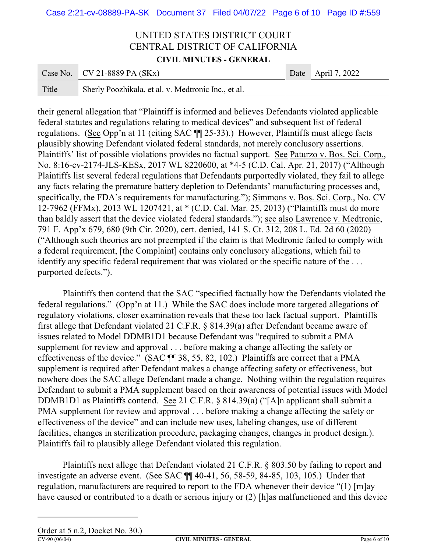|       | Case No. CV 21-8889 PA $(SKx)$                      | Date April 7, 2022 |
|-------|-----------------------------------------------------|--------------------|
| Title | Sherly Poozhikala, et al. v. Medtronic Inc., et al. |                    |

their general allegation that "Plaintiff is informed and believes Defendants violated applicable federal statutes and regulations relating to medical devices" and subsequent list of federal regulations. (See Opp'n at 11 (citing SAC ¶¶ 25-33).) However, Plaintiffs must allege facts plausibly showing Defendant violated federal standards, not merely conclusory assertions. Plaintiffs' list of possible violations provides no factual support. See Paturzo v. Bos. Sci. Corp., No. 8:16-cv-2174-JLS-KESx, 2017 WL 8220600, at \*4-5 (C.D. Cal. Apr. 21, 2017) ("Although Plaintiffs list several federal regulations that Defendants purportedly violated, they fail to allege any facts relating the premature battery depletion to Defendants' manufacturing processes and, specifically, the FDA's requirements for manufacturing."); Simmons v. Bos. Sci. Corp., No. CV 12-7962 (FFMx), 2013 WL 1207421, at \* (C.D. Cal. Mar. 25, 2013) ("Plaintiffs must do more than baldly assert that the device violated federal standards."); see also Lawrence v. Medtronic, 791 F. App'x 679, 680 (9th Cir. 2020), cert. denied, 141 S. Ct. 312, 208 L. Ed. 2d 60 (2020) ("Although such theories are not preempted if the claim is that Medtronic failed to comply with a federal requirement, [the Complaint] contains only conclusory allegations, which fail to identify any specific federal requirement that was violated or the specific nature of the ... purported defects.").

Plaintiffs then contend that the SAC "specified factually how the Defendants violated the federal regulations." (Opp'n at 11.) While the SAC does include more targeted allegations of regulatory violations, closer examination reveals that these too lack factual support. Plaintiffs first allege that Defendant violated 21 C.F.R. § 814.39(a) after Defendant became aware of issues related to Model DDMB1D1 because Defendant was "required to submit a PMA supplement for review and approval . . . before making a change affecting the safety or effectiveness of the device." (SAC ¶¶ 38, 55, 82, 102.) Plaintiffs are correct that a PMA supplement is required after Defendant makes a change affecting safety or effectiveness, but nowhere does the SAC allege Defendant made a change. Nothing within the regulation requires Defendant to submit a PMA supplement based on their awareness of potential issues with Model DDMB1D1 as Plaintiffs contend. See 21 C.F.R. § 814.39(a) ("[A]n applicant shall submit a PMA supplement for review and approval . . . before making a change affecting the safety or effectiveness of the device" and can include new uses, labeling changes, use of different facilities, changes in sterilization procedure, packaging changes, changes in product design.). Plaintiffs fail to plausibly allege Defendant violated this regulation.

Plaintiffs next allege that Defendant violated 21 C.F.R. § 803.50 by failing to report and investigate an adverse event. (See SAC ¶¶ 40-41, 56, 58-59, 84-85, 103, 105.) Under that regulation, manufacturers are required to report to the FDA whenever their device "(1) [m]ay have caused or contributed to a death or serious injury or (2) [h]as malfunctioned and this device

Order at 5 n.2, Docket No. 30.)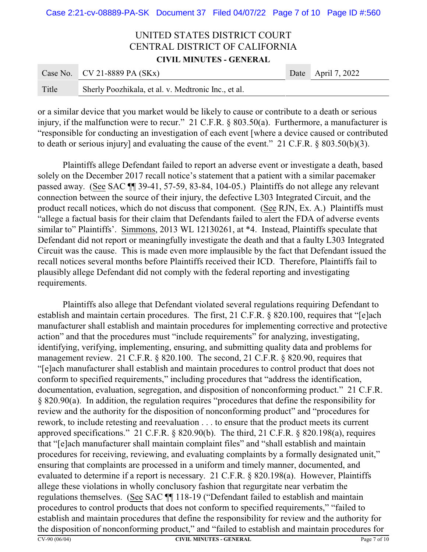|       | Case No. CV 21-8889 PA $(SKx)$                      | Date April 7, 2022 |
|-------|-----------------------------------------------------|--------------------|
| Title | Sherly Poozhikala, et al. v. Medtronic Inc., et al. |                    |

or a similar device that you market would be likely to cause or contribute to a death or serious injury, if the malfunction were to recur." 21 C.F.R. § 803.50(a). Furthermore, a manufacturer is "responsible for conducting an investigation of each event [where a device caused or contributed to death or serious injury] and evaluating the cause of the event." 21 C.F.R. § 803.50(b)(3).

Plaintiffs allege Defendant failed to report an adverse event or investigate a death, based solely on the December 2017 recall notice's statement that a patient with a similar pacemaker passed away. (See SAC ¶¶ 39-41, 57-59, 83-84, 104-05.) Plaintiffs do not allege any relevant connection between the source of their injury, the defective L303 Integrated Circuit, and the product recall notices, which do not discuss that component. (See RJN, Ex. A.) Plaintiffs must "allege a factual basis for their claim that Defendants failed to alert the FDA of adverse events similar to" Plaintiffs'. Simmons, 2013 WL 12130261, at  $*4$ . Instead, Plaintiffs speculate that Defendant did not report or meaningfully investigate the death and that a faulty L303 Integrated Circuit was the cause. This is made even more implausible by the fact that Defendant issued the recall notices several months before Plaintiffs received their ICD. Therefore, Plaintiffs fail to plausibly allege Defendant did not comply with the federal reporting and investigating requirements.

Plaintiffs also allege that Defendant violated several regulations requiring Defendant to establish and maintain certain procedures. The first, 21 C.F.R. § 820.100, requires that "[e]ach manufacturer shall establish and maintain procedures for implementing corrective and protective action" and that the procedures must "include requirements" for analyzing, investigating, identifying, verifying, implementing, ensuring, and submitting quality data and problems for management review. 21 C.F.R. § 820.100. The second, 21 C.F.R. § 820.90, requires that "[e]ach manufacturer shall establish and maintain procedures to control product that does not conform to specified requirements," including procedures that "address the identification, documentation, evaluation, segregation, and disposition of nonconforming product." 21 C.F.R. § 820.90(a). In addition, the regulation requires "procedures that define the responsibility for review and the authority for the disposition of nonconforming product" and "procedures for rework, to include retesting and reevaluation . . . to ensure that the product meets its current approved specifications." 21 C.F.R. § 820.90(b). The third, 21 C.F.R. § 820.198(a), requires that "[e]ach manufacturer shall maintain complaint files" and "shall establish and maintain procedures for receiving, reviewing, and evaluating complaints by a formally designated unit," ensuring that complaints are processed in a uniform and timely manner, documented, and evaluated to determine if a report is necessary. 21 C.F.R. § 820.198(a). However, Plaintiffs allege these violations in wholly conclusory fashion that regurgitate near verbatim the regulations themselves. (See SAC ¶¶ 118-19 ("Defendant failed to establish and maintain procedures to control products that does not conform to specified requirements," "failed to establish and maintain procedures that define the responsibility for review and the authority for the disposition of nonconforming product," and "failed to establish and maintain procedures for **CV-90 (06/04) CIVIL MINUTES - GENERAL** Page 7 of 10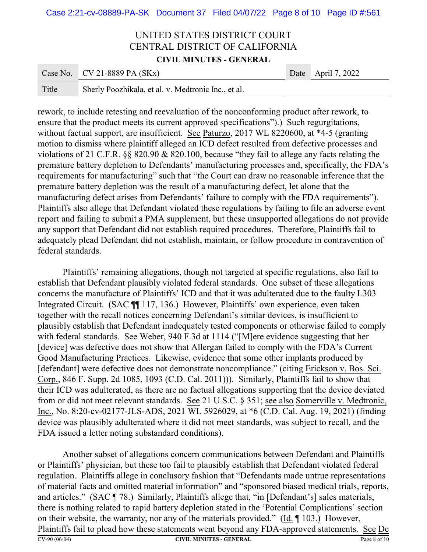Case 2:21-cv-08889-PA-SK Document 37 Filed 04/07/22 Page 8 of 10 Page ID #:561

## UNITED STATES DISTRICT COURT CENTRAL DISTRICT OF CALIFORNIA **CIVIL MINUTES - GENERAL**

|       | Case No. CV 21-8889 PA $(SKx)$                      | Date April 7, 2022 |
|-------|-----------------------------------------------------|--------------------|
| Title | Sherly Poozhikala, et al. v. Medtronic Inc., et al. |                    |

rework, to include retesting and reevaluation of the nonconforming product after rework, to ensure that the product meets its current approved specifications").) Such regurgitations, without factual support, are insufficient. See Paturzo, 2017 WL 8220600, at \*4-5 (granting motion to dismiss where plaintiff alleged an ICD defect resulted from defective processes and violations of 21 C.F.R. §§ 820.90 & 820.100, because "they fail to allege any facts relating the premature battery depletion to Defendants' manufacturing processes and, specifically, the FDA's requirements for manufacturing" such that "the Court can draw no reasonable inference that the premature battery depletion was the result of a manufacturing defect, let alone that the manufacturing defect arises from Defendants' failure to comply with the FDA requirements"). Plaintiffs also allege that Defendant violated these regulations by failing to file an adverse event report and failing to submit a PMA supplement, but these unsupported allegations do not provide any support that Defendant did not establish required procedures. Therefore, Plaintiffs fail to adequately plead Defendant did not establish, maintain, or follow procedure in contravention of federal standards.

Plaintiffs' remaining allegations, though not targeted at specific regulations, also fail to establish that Defendant plausibly violated federal standards. One subset of these allegations concerns the manufacture of Plaintiffs' ICD and that it was adulterated due to the faulty L303 Integrated Circuit. (SAC ¶¶ 117, 136.) However, Plaintiffs' own experience, even taken together with the recall notices concerning Defendant's similar devices, is insufficient to plausibly establish that Defendant inadequately tested components or otherwise failed to comply with federal standards. See Weber, 940 F.3d at 1114 ("[M]ere evidence suggesting that her [device] was defective does not show that Allergan failed to comply with the FDA's Current Good Manufacturing Practices. Likewise, evidence that some other implants produced by [defendant] were defective does not demonstrate noncompliance." (citing Erickson v. Bos. Sci. Corp., 846 F. Supp. 2d 1085, 1093 (C.D. Cal. 2011))). Similarly, Plaintiffs fail to show that their ICD was adulterated, as there are no factual allegations supporting that the device deviated from or did not meet relevant standards. See 21 U.S.C. § 351; see also Somerville v. Medtronic, Inc., No. 8:20-cv-02177-JLS-ADS, 2021 WL 5926029, at \*6 (C.D. Cal. Aug. 19, 2021) (finding device was plausibly adulterated where it did not meet standards, was subject to recall, and the FDA issued a letter noting substandard conditions).

Another subset of allegations concern communications between Defendant and Plaintiffs or Plaintiffs' physician, but these too fail to plausibly establish that Defendant violated federal regulation. Plaintiffs allege in conclusory fashion that "Defendants made untrue representations of material facts and omitted material information" and "sponsored biased medical trials, reports, and articles." (SAC ¶ 78.) Similarly, Plaintiffs allege that, "in [Defendant's] sales materials, there is nothing related to rapid battery depletion stated in the 'Potential Complications' section on their website, the warranty, nor any of the materials provided." (Id. ¶ 103.) However, Plaintiffs fail to plead how these statements went beyond any FDA-approved statements. See De **CV-90 (06/04) CIVIL MINUTES - GENERAL** Page 8 of 10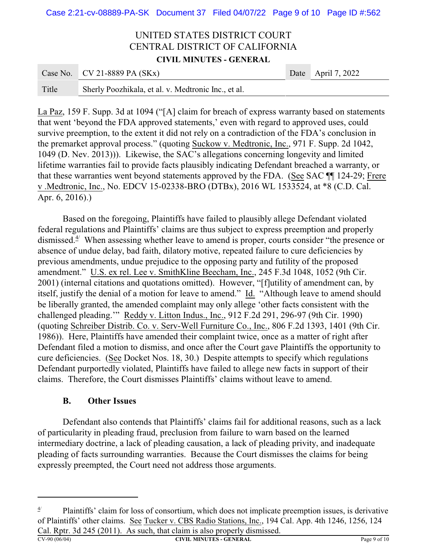|       | Case No. CV 21-8889 PA $(SKx)$                      | Date April 7, 2022 |
|-------|-----------------------------------------------------|--------------------|
| Title | Sherly Poozhikala, et al. v. Medtronic Inc., et al. |                    |

La Paz, 159 F. Supp. 3d at 1094 ("[A] claim for breach of express warranty based on statements that went 'beyond the FDA approved statements,' even with regard to approved uses, could survive preemption, to the extent it did not rely on a contradiction of the FDA's conclusion in the premarket approval process." (quoting Suckow v. Medtronic, Inc., 971 F. Supp. 2d 1042, 1049 (D. Nev. 2013))). Likewise, the SAC's allegations concerning longevity and limited lifetime warranties fail to provide facts plausibly indicating Defendant breached a warranty, or that these warranties went beyond statements approved by the FDA. (See SAC ¶¶ 124-29; Frere v .Medtronic, Inc., No. EDCV 15-02338-BRO (DTBx), 2016 WL 1533524, at \*8 (C.D. Cal. Apr. 6, 2016).)

Based on the foregoing, Plaintiffs have failed to plausibly allege Defendant violated federal regulations and Plaintiffs' claims are thus subject to express preemption and properly dismissed.4/ When assessing whether leave to amend is proper, courts consider "the presence or absence of undue delay, bad faith, dilatory motive, repeated failure to cure deficiencies by previous amendments, undue prejudice to the opposing party and futility of the proposed amendment." U.S. ex rel. Lee v. SmithKline Beecham, Inc., 245 F.3d 1048, 1052 (9th Cir. 2001) (internal citations and quotations omitted). However, "[f]utility of amendment can, by itself, justify the denial of a motion for leave to amend." Id. "Although leave to amend should be liberally granted, the amended complaint may only allege 'other facts consistent with the challenged pleading.'" Reddy v. Litton Indus., Inc., 912 F.2d 291, 296-97 (9th Cir. 1990) (quoting Schreiber Distrib. Co. v. Serv-Well Furniture Co., Inc., 806 F.2d 1393, 1401 (9th Cir. 1986)). Here, Plaintiffs have amended their complaint twice, once as a matter of right after Defendant filed a motion to dismiss, and once after the Court gave Plaintiffs the opportunity to cure deficiencies. (See Docket Nos. 18, 30.) Despite attempts to specify which regulations Defendant purportedly violated, Plaintiffs have failed to allege new facts in support of their claims. Therefore, the Court dismisses Plaintiffs' claims without leave to amend.

#### **B. Other Issues**

Defendant also contends that Plaintiffs' claims fail for additional reasons, such as a lack of particularity in pleading fraud, preclusion from failure to warn based on the learned intermediary doctrine, a lack of pleading causation, a lack of pleading privity, and inadequate pleading of facts surrounding warranties. Because the Court dismisses the claims for being expressly preempted, the Court need not address those arguments.

 $\frac{4}{7}$  Plaintiffs' claim for loss of consortium, which does not implicate preemption issues, is derivative of Plaintiffs' other claims. See Tucker v. CBS Radio Stations, Inc., 194 Cal. App. 4th 1246, 1256, 124 Cal. Rptr. 3d 245 (2011). As such, that claim is also properly dismissed.